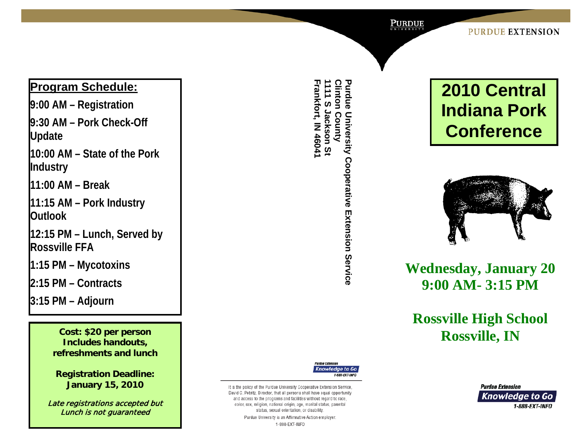Purdue

#### **PURDUE EXTENSION**

## **Program Schedule:**

**9:00 AM – Registration** 9:30 AM - Pork Check-Off **Update**

**10:00 AM – State of the Pork Industry**

**11:00 AM – Break**

**11:15 AM – Pork Industry Outlook**

**12:15 PM – Lunch, Served by Rossville FFA**

**1:15 PM – Mycotoxins**

**2:15 PM – Contracts**

**3:15 PM – Adjourn**

**Includes handouts, refreshments and lunch**

**Registration Deadline: January 15, 2010**

Late registrations accepted but Lunch is not guaranteed

1111 S Jackson St<br>Frankfort, IN 46041 **Frankfort, IN 46041 1111 S Jackson St Clinton County Clinton County Purdue University Cooperative Extension Service Purdue University Cooperative Extension Service**





# **Wednesday, January 20 9:00 AM - 3:15 PM**

**Rossville High School Rossville, IN Cost: \$20 per person**



It is the policy of the Purdue University Cooperative Extension Service David C. Petritz, Director, that all persons shall have equal opportunity and access to the programs and facilities without regard to race, color, sex, religion, national origin, age, marital status, parental status, sexual orientation, or disability Purdue University is an Affirmative Action employer. 1-888-EXT-INFO